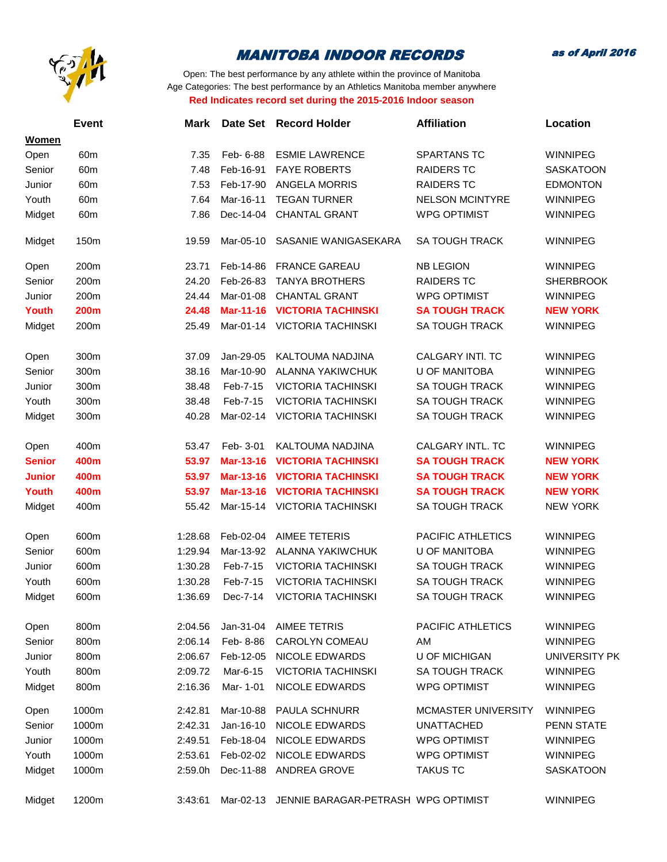

as of April 2016

|               | Event           | <b>Mark</b> | Date Set         | <b>Record Holder</b>                | <b>Affiliation</b>         | Location             |
|---------------|-----------------|-------------|------------------|-------------------------------------|----------------------------|----------------------|
| <b>Women</b>  |                 |             |                  |                                     |                            |                      |
| Open          | 60 <sub>m</sub> | 7.35        | Feb- 6-88        | <b>ESMIE LAWRENCE</b>               | <b>SPARTANS TC</b>         | <b>WINNIPEG</b>      |
| Senior        | 60m             | 7.48        | Feb-16-91        | <b>FAYE ROBERTS</b>                 | <b>RAIDERS TC</b>          | <b>SASKATOON</b>     |
| Junior        | 60 <sub>m</sub> | 7.53        | Feb-17-90        | <b>ANGELA MORRIS</b>                | <b>RAIDERS TC</b>          | <b>EDMONTON</b>      |
| Youth         | 60m             | 7.64        | Mar-16-11        | <b>TEGAN TURNER</b>                 | <b>NELSON MCINTYRE</b>     | <b>WINNIPEG</b>      |
| Midget        | 60 <sub>m</sub> | 7.86        | Dec-14-04        | <b>CHANTAL GRANT</b>                | <b>WPG OPTIMIST</b>        | <b>WINNIPEG</b>      |
| Midget        | 150m            | 19.59       | Mar-05-10        | SASANIE WANIGASEKARA                | <b>SA TOUGH TRACK</b>      | <b>WINNIPEG</b>      |
| Open          | 200m            | 23.71       | Feb-14-86        | <b>FRANCE GAREAU</b>                | <b>NB LEGION</b>           | <b>WINNIPEG</b>      |
| Senior        | 200m            | 24.20       | Feb-26-83        | <b>TANYA BROTHERS</b>               | <b>RAIDERS TC</b>          | <b>SHERBROOK</b>     |
| Junior        | 200m            | 24.44       | Mar-01-08        | <b>CHANTAL GRANT</b>                | <b>WPG OPTIMIST</b>        | <b>WINNIPEG</b>      |
| Youth         | <b>200m</b>     | 24.48       | <b>Mar-11-16</b> | <b>VICTORIA TACHINSKI</b>           | <b>SA TOUGH TRACK</b>      | <b>NEW YORK</b>      |
| Midget        | 200m            | 25.49       | Mar-01-14        | <b>VICTORIA TACHINSKI</b>           | <b>SA TOUGH TRACK</b>      | <b>WINNIPEG</b>      |
| Open          | 300m            | 37.09       | Jan-29-05        | KALTOUMA NADJINA                    | CALGARY INTI. TC           | <b>WINNIPEG</b>      |
| Senior        | 300m            | 38.16       | Mar-10-90        | ALANNA YAKIWCHUK                    | <b>U OF MANITOBA</b>       | <b>WINNIPEG</b>      |
| Junior        | 300m            | 38.48       | Feb-7-15         | <b>VICTORIA TACHINSKI</b>           | <b>SA TOUGH TRACK</b>      | <b>WINNIPEG</b>      |
| Youth         | 300m            | 38.48       | Feb-7-15         | <b>VICTORIA TACHINSKI</b>           | <b>SA TOUGH TRACK</b>      | <b>WINNIPEG</b>      |
| Midget        | 300m            | 40.28       | Mar-02-14        | <b>VICTORIA TACHINSKI</b>           | <b>SA TOUGH TRACK</b>      | <b>WINNIPEG</b>      |
| Open          | 400m            | 53.47       | Feb- 3-01        | KALTOUMA NADJINA                    | CALGARY INTL. TC           | <b>WINNIPEG</b>      |
| <b>Senior</b> | 400m            | 53.97       | Mar-13-16        | <b>VICTORIA TACHINSKI</b>           | <b>SA TOUGH TRACK</b>      | <b>NEW YORK</b>      |
| <b>Junior</b> | 400m            | 53.97       | Mar-13-16        | <b>VICTORIA TACHINSKI</b>           | <b>SA TOUGH TRACK</b>      | <b>NEW YORK</b>      |
| Youth         | 400m            | 53.97       | Mar-13-16        | <b>VICTORIA TACHINSKI</b>           | <b>SA TOUGH TRACK</b>      | <b>NEW YORK</b>      |
| Midget        | 400m            | 55.42       | Mar-15-14        | <b>VICTORIA TACHINSKI</b>           | <b>SA TOUGH TRACK</b>      | <b>NEW YORK</b>      |
| Open          | 600m            | 1:28.68     | Feb-02-04        | <b>AIMEE TETERIS</b>                | PACIFIC ATHLETICS          | <b>WINNIPEG</b>      |
| Senior        | 600m            | 1:29.94     | Mar-13-92        | ALANNA YAKIWCHUK                    | <b>U OF MANITOBA</b>       | <b>WINNIPEG</b>      |
| Junior        | 600m            | 1:30.28     | Feb-7-15         | <b>VICTORIA TACHINSKI</b>           | <b>SA TOUGH TRACK</b>      | <b>WINNIPEG</b>      |
| Youth         | 600m            | 1:30.28     | Feb-7-15         | <b>VICTORIA TACHINSKI</b>           | <b>SA TOUGH TRACK</b>      | <b>WINNIPEG</b>      |
| Midget        | 600m            | 1:36.69     | Dec-7-14         | <b>VICTORIA TACHINSKI</b>           | <b>SA TOUGH TRACK</b>      | <b>WINNIPEG</b>      |
| Open          | 800m            | 2:04.56     | Jan-31-04        | AIMEE TETRIS                        | PACIFIC ATHLETICS          | WINNIPEG             |
| Senior        | 800m            | 2:06.14     | Feb-8-86         | <b>CAROLYN COMEAU</b>               | AM                         | <b>WINNIPEG</b>      |
| Junior        | 800m            | 2:06.67     | Feb-12-05        | <b>NICOLE EDWARDS</b>               | <b>U OF MICHIGAN</b>       | <b>UNIVERSITY PK</b> |
| Youth         | 800m            | 2:09.72     | Mar-6-15         | <b>VICTORIA TACHINSKI</b>           | <b>SA TOUGH TRACK</b>      | <b>WINNIPEG</b>      |
| Midget        | 800m            | 2:16.36     | Mar- 1-01        | <b>NICOLE EDWARDS</b>               | <b>WPG OPTIMIST</b>        | <b>WINNIPEG</b>      |
| Open          | 1000m           | 2:42.81     | Mar-10-88        | <b>PAULA SCHNURR</b>                | <b>MCMASTER UNIVERSITY</b> | <b>WINNIPEG</b>      |
| Senior        | 1000m           | 2:42.31     | Jan-16-10        | <b>NICOLE EDWARDS</b>               | <b>UNATTACHED</b>          | <b>PENN STATE</b>    |
| Junior        | 1000m           | 2:49.51     | Feb-18-04        | <b>NICOLE EDWARDS</b>               | <b>WPG OPTIMIST</b>        | <b>WINNIPEG</b>      |
| Youth         | 1000m           | 2:53.61     | Feb-02-02        | <b>NICOLE EDWARDS</b>               | <b>WPG OPTIMIST</b>        | <b>WINNIPEG</b>      |
| Midget        | 1000m           | 2:59.0h     | Dec-11-88        | <b>ANDREA GROVE</b>                 | <b>TAKUS TC</b>            | <b>SASKATOON</b>     |
| Midget        | 1200m           | 3:43:61     | Mar-02-13        | JENNIE BARAGAR-PETRASH WPG OPTIMIST |                            | <b>WINNIPEG</b>      |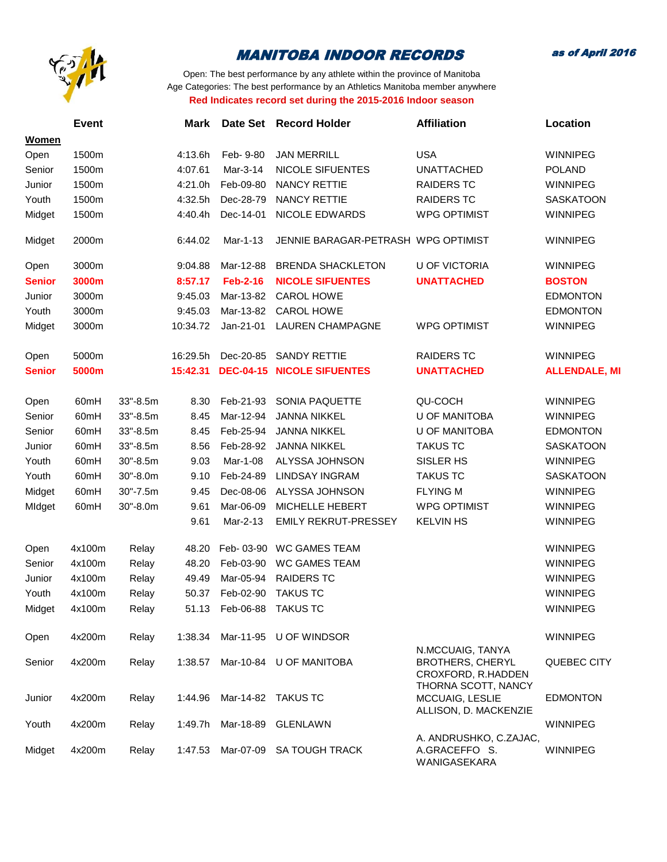

as of April 2016

|               | <b>Event</b>     |          | Mark     | <b>Date Set</b>          | <b>Record Holder</b>                | <b>Affiliation</b>                                                | Location             |
|---------------|------------------|----------|----------|--------------------------|-------------------------------------|-------------------------------------------------------------------|----------------------|
| <b>Women</b>  |                  |          |          |                          |                                     |                                                                   |                      |
| Open          | 1500m            |          | 4:13.6h  | Feb- 9-80                | <b>JAN MERRILL</b>                  | <b>USA</b>                                                        | <b>WINNIPEG</b>      |
| Senior        | 1500m            |          | 4:07.61  | Mar-3-14                 | <b>NICOLE SIFUENTES</b>             | <b>UNATTACHED</b>                                                 | <b>POLAND</b>        |
| Junior        | 1500m            |          | 4:21.0h  | Feb-09-80                | <b>NANCY RETTIE</b>                 | <b>RAIDERS TC</b>                                                 | <b>WINNIPEG</b>      |
| Youth         | 1500m            |          | 4:32.5h  | Dec-28-79                | <b>NANCY RETTIE</b>                 | <b>RAIDERS TC</b>                                                 | <b>SASKATOON</b>     |
| Midget        | 1500m            |          | 4:40.4h  | Dec-14-01                | NICOLE EDWARDS                      | <b>WPG OPTIMIST</b>                                               | <b>WINNIPEG</b>      |
| Midget        | 2000m            |          | 6:44.02  | Mar-1-13                 | JENNIE BARAGAR-PETRASH WPG OPTIMIST |                                                                   | <b>WINNIPEG</b>      |
| Open          | 3000m            |          | 9:04.88  | Mar-12-88                | <b>BRENDA SHACKLETON</b>            | <b>U OF VICTORIA</b>                                              | <b>WINNIPEG</b>      |
| <b>Senior</b> | 3000m            |          | 8:57.17  | <b>Feb-2-16</b>          | <b>NICOLE SIFUENTES</b>             | <b>UNATTACHED</b>                                                 | <b>BOSTON</b>        |
| Junior        | 3000m            |          | 9:45.03  | Mar-13-82                | <b>CAROL HOWE</b>                   |                                                                   | <b>EDMONTON</b>      |
| Youth         | 3000m            |          | 9:45.03  | Mar-13-82                | CAROL HOWE                          |                                                                   | <b>EDMONTON</b>      |
| Midget        | 3000m            |          | 10:34.72 | Jan-21-01                | <b>LAUREN CHAMPAGNE</b>             | <b>WPG OPTIMIST</b>                                               | <b>WINNIPEG</b>      |
| Open          | 5000m            |          | 16:29.5h | Dec-20-85                | <b>SANDY RETTIE</b>                 | <b>RAIDERS TC</b>                                                 | <b>WINNIPEG</b>      |
| <b>Senior</b> | 5000m            |          | 15:42.31 | <b>DEC-04-15</b>         | <b>NICOLE SIFUENTES</b>             | <b>UNATTACHED</b>                                                 | <b>ALLENDALE, MI</b> |
| Open          | 60 <sub>mH</sub> | 33"-8.5m | 8.30     | Feb-21-93                | SONIA PAQUETTE                      | QU-COCH                                                           | <b>WINNIPEG</b>      |
| Senior        | 60 <sub>mH</sub> | 33"-8.5m | 8.45     | Mar-12-94                | <b>JANNA NIKKEL</b>                 | <b>U OF MANITOBA</b>                                              | <b>WINNIPEG</b>      |
| Senior        | 60mH             | 33"-8.5m | 8.45     | Feb-25-94                | <b>JANNA NIKKEL</b>                 | <b>U OF MANITOBA</b>                                              | <b>EDMONTON</b>      |
| Junior        | 60mH             | 33"-8.5m | 8.56     | Feb-28-92                | <b>JANNA NIKKEL</b>                 | <b>TAKUS TC</b>                                                   | <b>SASKATOON</b>     |
| Youth         | 60mH             | 30"-8.5m | 9.03     | Mar-1-08                 | ALYSSA JOHNSON                      | SISLER HS                                                         | <b>WINNIPEG</b>      |
| Youth         | 60 <sub>mH</sub> | 30"-8.0m | 9.10     | Feb-24-89                | <b>LINDSAY INGRAM</b>               | <b>TAKUS TC</b>                                                   | <b>SASKATOON</b>     |
| Midget        | 60mH             | 30"-7.5m | 9.45     | Dec-08-06                | ALYSSA JOHNSON                      | <b>FLYING M</b>                                                   | <b>WINNIPEG</b>      |
| MIdget        | 60mH             | 30"-8.0m | 9.61     | Mar-06-09                | MICHELLE HEBERT                     | <b>WPG OPTIMIST</b>                                               | <b>WINNIPEG</b>      |
|               |                  |          | 9.61     | Mar-2-13                 | <b>EMILY REKRUT-PRESSEY</b>         | <b>KELVIN HS</b>                                                  | <b>WINNIPEG</b>      |
| Open          | 4x100m           | Relay    | 48.20    | Feb-03-90                | <b>WC GAMES TEAM</b>                |                                                                   | <b>WINNIPEG</b>      |
| Senior        | 4x100m           | Relay    | 48.20    | Feb-03-90                | <b>WC GAMES TEAM</b>                |                                                                   | <b>WINNIPEG</b>      |
| Junior        | 4x100m           | Relay    | 49.49    | Mar-05-94                | <b>RAIDERS TC</b>                   |                                                                   | <b>WINNIPEG</b>      |
| Youth         | 4x100m           | Relay    | 50.37    | Feb-02-90                | <b>TAKUS TC</b>                     |                                                                   | <b>WINNIPEG</b>      |
| Midget        | 4x100m           | Relay    |          | 51.13 Feb-06-88 TAKUS TC |                                     |                                                                   | <b>WINNIPEG</b>      |
| Open          | 4x200m           | Relay    | 1:38.34  | Mar-11-95                | U OF WINDSOR                        |                                                                   | WINNIPEG             |
| Senior        | 4x200m           | Relay    | 1:38.57  |                          | Mar-10-84 U OF MANITOBA             | N.MCCUAIG, TANYA<br><b>BROTHERS, CHERYL</b><br>CROXFORD, R.HADDEN | QUEBEC CITY          |
| Junior        | 4x200m           | Relay    | 1:44.96  |                          | Mar-14-82 TAKUS TC                  | THORNA SCOTT, NANCY<br>MCCUAIG, LESLIE<br>ALLISON, D. MACKENZIE   | <b>EDMONTON</b>      |
| Youth         | 4x200m           | Relay    | 1:49.7h  | Mar-18-89                | GLENLAWN                            |                                                                   | <b>WINNIPEG</b>      |
| Midget        | 4x200m           | Relay    | 1:47.53  | Mar-07-09                | <b>SA TOUGH TRACK</b>               | A. ANDRUSHKO, C.ZAJAC,<br>A.GRACEFFO S.<br>WANIGASEKARA           | <b>WINNIPEG</b>      |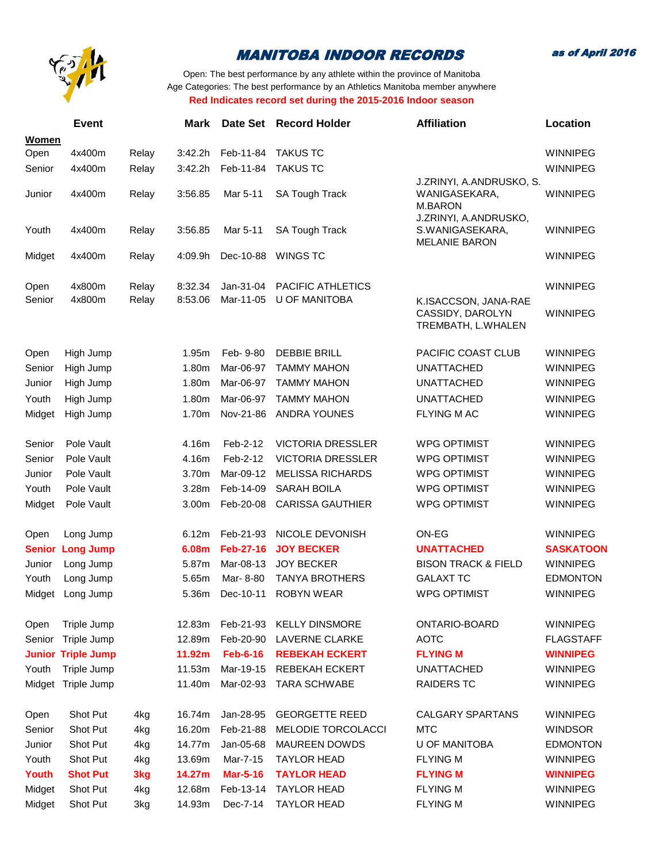

as of April 2016

|               | <b>Event</b>              |       | <b>Mark</b> | Date Set         | <b>Record Holder</b>     | <b>Affiliation</b>                                               | Location         |
|---------------|---------------------------|-------|-------------|------------------|--------------------------|------------------------------------------------------------------|------------------|
| Women         |                           |       |             |                  |                          |                                                                  |                  |
| Open          | 4x400m                    | Relay | 3:42.2h     | Feb-11-84        | <b>TAKUS TC</b>          |                                                                  | <b>WINNIPEG</b>  |
| Senior        | 4x400m                    | Relay | 3:42.2h     | Feb-11-84        | <b>TAKUS TC</b>          | J.ZRINYI, A.ANDRUSKO, S.                                         | <b>WINNIPEG</b>  |
| Junior        | 4x400m                    | Relay | 3:56.85     | Mar 5-11         | <b>SA Tough Track</b>    | WANIGASEKARA,<br><b>M.BARON</b>                                  | <b>WINNIPEG</b>  |
| Youth         | 4x400m                    | Relay | 3:56.85     | Mar 5-11         | <b>SA Tough Track</b>    | J.ZRINYI, A.ANDRUSKO,<br>S.WANIGASEKARA,<br><b>MELANIE BARON</b> | <b>WINNIPEG</b>  |
| Midget        | 4x400m                    | Relay | 4:09.9h     | Dec-10-88        | <b>WINGS TC</b>          |                                                                  | <b>WINNIPEG</b>  |
| Open          | 4x800m                    | Relay | 8:32.34     | Jan-31-04        | PACIFIC ATHLETICS        |                                                                  | <b>WINNIPEG</b>  |
| Senior        | 4x800m                    | Relay | 8:53.06     | Mar-11-05        | <b>U OF MANITOBA</b>     | K.ISACCSON, JANA-RAE<br>CASSIDY, DAROLYN<br>TREMBATH, L.WHALEN   | <b>WINNIPEG</b>  |
| Open          | High Jump                 |       | 1.95m       | Feb- 9-80        | <b>DEBBIE BRILL</b>      | PACIFIC COAST CLUB                                               | <b>WINNIPEG</b>  |
| Senior        | High Jump                 |       | 1.80m       | Mar-06-97        | <b>TAMMY MAHON</b>       | <b>UNATTACHED</b>                                                | <b>WINNIPEG</b>  |
| Junior        | High Jump                 |       | 1.80m       | Mar-06-97        | <b>TAMMY MAHON</b>       | <b>UNATTACHED</b>                                                | <b>WINNIPEG</b>  |
| Youth         | High Jump                 |       | 1.80m       | Mar-06-97        | <b>TAMMY MAHON</b>       | <b>UNATTACHED</b>                                                | <b>WINNIPEG</b>  |
| Midget        | High Jump                 |       | 1.70m       | Nov-21-86        | <b>ANDRA YOUNES</b>      | <b>FLYING MAC</b>                                                | <b>WINNIPEG</b>  |
| Senior        | Pole Vault                |       | 4.16m       | Feb-2-12         | <b>VICTORIA DRESSLER</b> | <b>WPG OPTIMIST</b>                                              | <b>WINNIPEG</b>  |
| Senior        | Pole Vault                |       | 4.16m       | Feb-2-12         | <b>VICTORIA DRESSLER</b> | <b>WPG OPTIMIST</b>                                              | <b>WINNIPEG</b>  |
| Junior        | Pole Vault                |       | 3.70m       | Mar-09-12        | <b>MELISSA RICHARDS</b>  | <b>WPG OPTIMIST</b>                                              | <b>WINNIPEG</b>  |
| Youth         | Pole Vault                |       | 3.28m       | Feb-14-09        | <b>SARAH BOILA</b>       | <b>WPG OPTIMIST</b>                                              | <b>WINNIPEG</b>  |
| Midget        | Pole Vault                |       | 3.00m       | Feb-20-08        | <b>CARISSA GAUTHIER</b>  | <b>WPG OPTIMIST</b>                                              | WINNIPEG         |
| Open          | Long Jump                 |       | 6.12m       | Feb-21-93        | NICOLE DEVONISH          | ON-EG                                                            | <b>WINNIPEG</b>  |
| <b>Senior</b> | <b>Long Jump</b>          |       | 6.08m       | <b>Feb-27-16</b> | <b>JOY BECKER</b>        | <b>UNATTACHED</b>                                                | <b>SASKATOON</b> |
| Junior        | Long Jump                 |       | 5.87m       | Mar-08-13        | <b>JOY BECKER</b>        | <b>BISON TRACK &amp; FIELD</b>                                   | <b>WINNIPEG</b>  |
| Youth         | Long Jump                 |       | 5.65m       | Mar-8-80         | <b>TANYA BROTHERS</b>    | <b>GALAXT TC</b>                                                 | <b>EDMONTON</b>  |
| Midget        | Long Jump                 |       | 5.36m       | Dec-10-11        | <b>ROBYN WEAR</b>        | <b>WPG OPTIMIST</b>                                              | <b>WINNIPEG</b>  |
| Open          | Triple Jump               |       | 12.83m      | Feb-21-93        | <b>KELLY DINSMORE</b>    | ONTARIO-BOARD                                                    | <b>WINNIPEG</b>  |
| Senior        | Triple Jump               |       | 12.89m      | Feb-20-90        | <b>LAVERNE CLARKE</b>    | <b>AOTC</b>                                                      | <b>FLAGSTAFF</b> |
|               | <b>Junior Triple Jump</b> |       | 11.92m      | <b>Feb-6-16</b>  | <b>REBEKAH ECKERT</b>    | <b>FLYING M</b>                                                  | <b>WINNIPEG</b>  |
| Youth         | Triple Jump               |       | 11.53m      | Mar-19-15        | <b>REBEKAH ECKERT</b>    | <b>UNATTACHED</b>                                                | <b>WINNIPEG</b>  |
|               | Midget Triple Jump        |       | 11.40m      | Mar-02-93        | <b>TARA SCHWABE</b>      | <b>RAIDERS TC</b>                                                | <b>WINNIPEG</b>  |
| Open          | Shot Put                  | 4kg   | 16.74m      | Jan-28-95        | <b>GEORGETTE REED</b>    | <b>CALGARY SPARTANS</b>                                          | <b>WINNIPEG</b>  |
| Senior        | Shot Put                  | 4kg   | 16.20m      | Feb-21-88        | MELODIE TORCOLACCI       | <b>MTC</b>                                                       | <b>WINDSOR</b>   |
| Junior        | Shot Put                  | 4kg   | 14.77m      | Jan-05-68        | <b>MAUREEN DOWDS</b>     | <b>U OF MANITOBA</b>                                             | <b>EDMONTON</b>  |
| Youth         | Shot Put                  | 4kg   | 13.69m      | Mar-7-15         | <b>TAYLOR HEAD</b>       | <b>FLYING M</b>                                                  | <b>WINNIPEG</b>  |
| Youth         | <b>Shot Put</b>           | 3kg   | 14.27m      | <b>Mar-5-16</b>  | <b>TAYLOR HEAD</b>       | <b>FLYING M</b>                                                  | <b>WINNIPEG</b>  |
| Midget        | Shot Put                  | 4kg   | 12.68m      | Feb-13-14        | <b>TAYLOR HEAD</b>       | <b>FLYING M</b>                                                  | <b>WINNIPEG</b>  |
| Midget        | Shot Put                  | 3kg   | 14.93m      | Dec-7-14         | <b>TAYLOR HEAD</b>       | <b>FLYING M</b>                                                  | <b>WINNIPEG</b>  |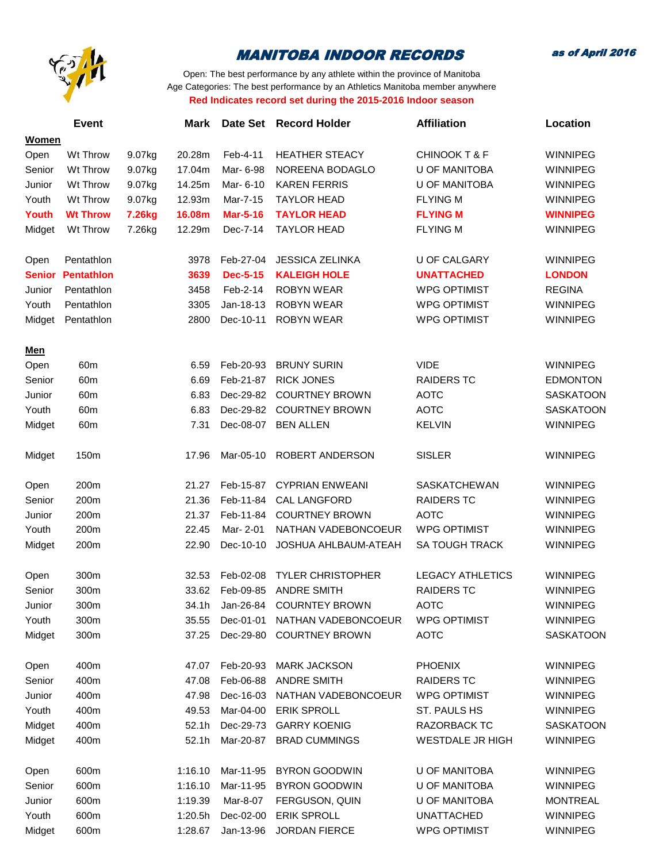

as of April 2016

|               | <b>Event</b>      |        | <b>Mark</b> |                 | Date Set Record Holder   | <b>Affiliation</b>       | Location         |
|---------------|-------------------|--------|-------------|-----------------|--------------------------|--------------------------|------------------|
| <b>Women</b>  |                   |        |             |                 |                          |                          |                  |
| Open          | Wt Throw          | 9.07kg | 20.28m      | Feb-4-11        | <b>HEATHER STEACY</b>    | <b>CHINOOK T &amp; F</b> | <b>WINNIPEG</b>  |
| Senior        | Wt Throw          | 9.07kg | 17.04m      | Mar- 6-98       | NOREENA BODAGLO          | <b>U OF MANITOBA</b>     | <b>WINNIPEG</b>  |
| Junior        | Wt Throw          | 9.07kg | 14.25m      | Mar- 6-10       | <b>KAREN FERRIS</b>      | <b>U OF MANITOBA</b>     | WINNIPEG         |
| Youth         | Wt Throw          | 9.07kg | 12.93m      | Mar-7-15        | <b>TAYLOR HEAD</b>       | <b>FLYING M</b>          | <b>WINNIPEG</b>  |
| Youth         | <b>Wt Throw</b>   | 7.26kg | 16.08m      | <b>Mar-5-16</b> | <b>TAYLOR HEAD</b>       | <b>FLYING M</b>          | <b>WINNIPEG</b>  |
| Midget        | Wt Throw          | 7.26kg | 12.29m      | Dec-7-14        | <b>TAYLOR HEAD</b>       | <b>FLYING M</b>          | <b>WINNIPEG</b>  |
|               |                   |        |             |                 |                          |                          |                  |
| Open          | Pentathlon        |        | 3978        | Feb-27-04       | <b>JESSICA ZELINKA</b>   | <b>U OF CALGARY</b>      | <b>WINNIPEG</b>  |
| <b>Senior</b> | <b>Pentathlon</b> |        | 3639        | <b>Dec-5-15</b> | <b>KALEIGH HOLE</b>      | <b>UNATTACHED</b>        | <b>LONDON</b>    |
| Junior        | Pentathlon        |        | 3458        | Feb-2-14        | <b>ROBYN WEAR</b>        | <b>WPG OPTIMIST</b>      | <b>REGINA</b>    |
| Youth         | Pentathlon        |        | 3305        | Jan-18-13       | <b>ROBYN WEAR</b>        | <b>WPG OPTIMIST</b>      | <b>WINNIPEG</b>  |
| Midget        | Pentathlon        |        | 2800        | Dec-10-11       | <b>ROBYN WEAR</b>        | <b>WPG OPTIMIST</b>      | WINNIPEG         |
|               |                   |        |             |                 |                          |                          |                  |
| <u>Men</u>    |                   |        |             |                 |                          |                          |                  |
| Open          | 60m               |        | 6.59        | Feb-20-93       | <b>BRUNY SURIN</b>       | <b>VIDE</b>              | WINNIPEG         |
| Senior        | 60m               |        | 6.69        | Feb-21-87       | <b>RICK JONES</b>        | <b>RAIDERS TC</b>        | <b>EDMONTON</b>  |
| Junior        | 60m               |        | 6.83        | Dec-29-82       | <b>COURTNEY BROWN</b>    | <b>AOTC</b>              | <b>SASKATOON</b> |
| Youth         | 60m               |        | 6.83        | Dec-29-82       | <b>COURTNEY BROWN</b>    | <b>AOTC</b>              | <b>SASKATOON</b> |
| Midget        | 60m               |        | 7.31        | Dec-08-07       | <b>BEN ALLEN</b>         | <b>KELVIN</b>            | WINNIPEG         |
|               |                   |        |             |                 |                          |                          |                  |
| Midget        | 150m              |        | 17.96       | Mar-05-10       | ROBERT ANDERSON          | <b>SISLER</b>            | WINNIPEG         |
|               |                   |        |             |                 |                          |                          |                  |
| Open          | 200m              |        | 21.27       | Feb-15-87       | <b>CYPRIAN ENWEANI</b>   | <b>SASKATCHEWAN</b>      | WINNIPEG         |
| Senior        | 200m              |        | 21.36       | Feb-11-84       | <b>CAL LANGFORD</b>      | <b>RAIDERS TC</b>        | WINNIPEG         |
| Junior        | 200m              |        | 21.37       | Feb-11-84       | <b>COURTNEY BROWN</b>    | <b>AOTC</b>              | WINNIPEG         |
| Youth         | 200m              |        | 22.45       | Mar- 2-01       | NATHAN VADEBONCOEUR      | <b>WPG OPTIMIST</b>      | WINNIPEG         |
| Midget        | 200m              |        | 22.90       | Dec-10-10       | JOSHUA AHLBAUM-ATEAH     | SA TOUGH TRACK           | WINNIPEG         |
|               |                   |        |             |                 |                          |                          |                  |
| Open          | 300m              |        | 32.53       | Feb-02-08       | <b>TYLER CHRISTOPHER</b> | <b>LEGACY ATHLETICS</b>  | WINNIPEG         |
| Senior        | 300m              |        | 33.62       | Feb-09-85       | <b>ANDRE SMITH</b>       | <b>RAIDERS TC</b>        | WINNIPEG         |
| Junior        | 300m              |        | 34.1h       | Jan-26-84       | <b>COURNTEY BROWN</b>    | <b>AOTC</b>              | WINNIPEG         |
| Youth         | 300m              |        | 35.55       | Dec-01-01       | NATHAN VADEBONCOEUR      | <b>WPG OPTIMIST</b>      | <b>WINNIPEG</b>  |
| Midget        | 300m              |        | 37.25       | Dec-29-80       | <b>COURTNEY BROWN</b>    | <b>AOTC</b>              | <b>SASKATOON</b> |
|               |                   |        |             |                 |                          |                          |                  |
| Open          | 400m              |        | 47.07       | Feb-20-93       | <b>MARK JACKSON</b>      | <b>PHOENIX</b>           | WINNIPEG         |
| Senior        | 400m              |        | 47.08       | Feb-06-88       | <b>ANDRE SMITH</b>       | <b>RAIDERS TC</b>        | <b>WINNIPEG</b>  |
| Junior        | 400m              |        | 47.98       | Dec-16-03       | NATHAN VADEBONCOEUR      | <b>WPG OPTIMIST</b>      | <b>WINNIPEG</b>  |
| Youth         | 400m              |        | 49.53       | Mar-04-00       | <b>ERIK SPROLL</b>       | ST. PAULS HS             | <b>WINNIPEG</b>  |
| Midget        | 400m              |        | 52.1h       | Dec-29-73       | <b>GARRY KOENIG</b>      | RAZORBACK TC             | <b>SASKATOON</b> |
| Midget        | 400m              |        | 52.1h       | Mar-20-87       | <b>BRAD CUMMINGS</b>     | <b>WESTDALE JR HIGH</b>  | WINNIPEG         |
|               |                   |        |             |                 |                          |                          |                  |
| Open          | 600m              |        | 1:16.10     | Mar-11-95       | <b>BYRON GOODWIN</b>     | <b>U OF MANITOBA</b>     | WINNIPEG         |
| Senior        | 600m              |        | 1:16.10     | Mar-11-95       | <b>BYRON GOODWIN</b>     | <b>U OF MANITOBA</b>     | <b>WINNIPEG</b>  |
| Junior        | 600m              |        | 1:19.39     | Mar-8-07        | FERGUSON, QUIN           | <b>U OF MANITOBA</b>     | <b>MONTREAL</b>  |
| Youth         | 600m              |        | 1:20.5h     | Dec-02-00       | <b>ERIK SPROLL</b>       | <b>UNATTACHED</b>        | WINNIPEG         |
| Midget        | 600m              |        | 1:28.67     | Jan-13-96       | <b>JORDAN FIERCE</b>     | <b>WPG OPTIMIST</b>      | WINNIPEG         |
|               |                   |        |             |                 |                          |                          |                  |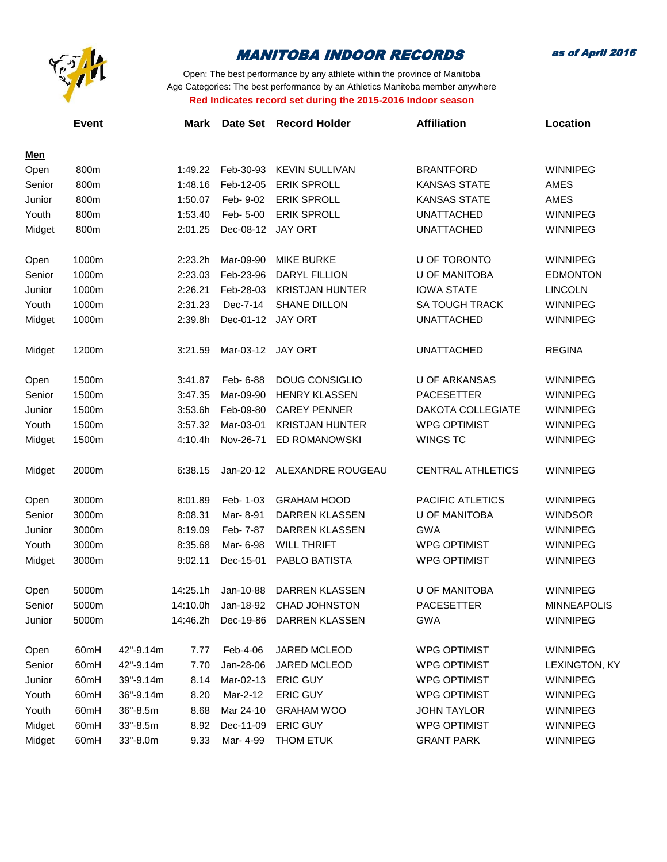

as of April 2016

|             | <b>Event</b> |           | <b>Mark</b> | Date Set  | <b>Record Holder</b>    | <b>Affiliation</b>       | Location           |
|-------------|--------------|-----------|-------------|-----------|-------------------------|--------------------------|--------------------|
|             |              |           |             |           |                         |                          |                    |
| Men<br>Open | 800m         |           | 1:49.22     | Feb-30-93 | <b>KEVIN SULLIVAN</b>   | <b>BRANTFORD</b>         | <b>WINNIPEG</b>    |
| Senior      | 800m         |           | 1:48.16     | Feb-12-05 | <b>ERIK SPROLL</b>      | <b>KANSAS STATE</b>      | AMES               |
| Junior      | 800m         |           | 1:50.07     | Feb- 9-02 | <b>ERIK SPROLL</b>      | <b>KANSAS STATE</b>      | AMES               |
| Youth       | 800m         |           | 1:53.40     | Feb- 5-00 | <b>ERIK SPROLL</b>      | <b>UNATTACHED</b>        | <b>WINNIPEG</b>    |
| Midget      | 800m         |           | 2:01.25     | Dec-08-12 | <b>JAY ORT</b>          | <b>UNATTACHED</b>        | <b>WINNIPEG</b>    |
|             |              |           |             |           |                         |                          |                    |
| Open        | 1000m        |           | 2:23.2h     | Mar-09-90 | <b>MIKE BURKE</b>       | U OF TORONTO             | <b>WINNIPEG</b>    |
| Senior      | 1000m        |           | 2:23.03     | Feb-23-96 | DARYL FILLION           | <b>U OF MANITOBA</b>     | <b>EDMONTON</b>    |
| Junior      | 1000m        |           | 2:26.21     | Feb-28-03 | <b>KRISTJAN HUNTER</b>  | <b>IOWA STATE</b>        | <b>LINCOLN</b>     |
| Youth       | 1000m        |           | 2:31.23     | Dec-7-14  | SHANE DILLON            | <b>SA TOUGH TRACK</b>    | <b>WINNIPEG</b>    |
| Midget      | 1000m        |           | 2:39.8h     | Dec-01-12 | <b>JAY ORT</b>          | <b>UNATTACHED</b>        | <b>WINNIPEG</b>    |
| Midget      | 1200m        |           | 3:21.59     | Mar-03-12 | JAY ORT                 | <b>UNATTACHED</b>        | <b>REGINA</b>      |
|             |              |           |             |           |                         |                          |                    |
| Open        | 1500m        |           | 3:41.87     | Feb- 6-88 | <b>DOUG CONSIGLIO</b>   | <b>U OF ARKANSAS</b>     | <b>WINNIPEG</b>    |
| Senior      | 1500m        |           | 3:47.35     | Mar-09-90 | <b>HENRY KLASSEN</b>    | <b>PACESETTER</b>        | <b>WINNIPEG</b>    |
| Junior      | 1500m        |           | 3:53.6h     | Feb-09-80 | <b>CAREY PENNER</b>     | <b>DAKOTA COLLEGIATE</b> | <b>WINNIPEG</b>    |
| Youth       | 1500m        |           | 3:57.32     | Mar-03-01 | <b>KRISTJAN HUNTER</b>  | <b>WPG OPTIMIST</b>      | <b>WINNIPEG</b>    |
| Midget      | 1500m        |           | 4:10.4h     | Nov-26-71 | ED ROMANOWSKI           | <b>WINGS TC</b>          | WINNIPEG           |
| Midget      | 2000m        |           | 6:38.15     | Jan-20-12 | ALEXANDRE ROUGEAU       | <b>CENTRAL ATHLETICS</b> | <b>WINNIPEG</b>    |
|             |              |           |             |           |                         |                          |                    |
| Open        | 3000m        |           | 8:01.89     | Feb- 1-03 | <b>GRAHAM HOOD</b>      | PACIFIC ATLETICS         | <b>WINNIPEG</b>    |
| Senior      | 3000m        |           | 8:08.31     | Mar-8-91  | DARREN KLASSEN          | <b>U OF MANITOBA</b>     | <b>WINDSOR</b>     |
| Junior      | 3000m        |           | 8:19.09     | Feb- 7-87 | DARREN KLASSEN          | <b>GWA</b>               | <b>WINNIPEG</b>    |
| Youth       | 3000m        |           | 8:35.68     | Mar- 6-98 | <b>WILL THRIFT</b>      | <b>WPG OPTIMIST</b>      | <b>WINNIPEG</b>    |
| Midget      | 3000m        |           | 9:02.11     | Dec-15-01 | PABLO BATISTA           | <b>WPG OPTIMIST</b>      | <b>WINNIPEG</b>    |
| Open        | 5000m        |           | 14:25.1h    | Jan-10-88 | <b>DARREN KLASSEN</b>   | <b>U OF MANITOBA</b>     | <b>WINNIPEG</b>    |
| Senior      | 5000m        |           | 14:10.0h    |           | Jan-18-92 CHAD JOHNSTON | PACESETTER               | <b>MINNEAPOLIS</b> |
| Junior      | 5000m        |           | 14:46.2h    | Dec-19-86 | DARREN KLASSEN          | GWA                      | <b>WINNIPEG</b>    |
| Open        | 60mH         | 42"-9.14m | 7.77        | Feb-4-06  | JARED MCLEOD            | <b>WPG OPTIMIST</b>      | WINNIPEG           |
| Senior      | 60mH         | 42"-9.14m | 7.70        | Jan-28-06 | JARED MCLEOD            | <b>WPG OPTIMIST</b>      | LEXINGTON, KY      |
| Junior      | 60mH         | 39"-9.14m | 8.14        | Mar-02-13 | <b>ERIC GUY</b>         | <b>WPG OPTIMIST</b>      | <b>WINNIPEG</b>    |
| Youth       | 60mH         | 36"-9.14m | 8.20        | Mar-2-12  | <b>ERIC GUY</b>         | <b>WPG OPTIMIST</b>      | WINNIPEG           |
| Youth       | 60mH         | 36"-8.5m  | 8.68        | Mar 24-10 | <b>GRAHAM WOO</b>       | <b>JOHN TAYLOR</b>       | <b>WINNIPEG</b>    |
| Midget      | 60mH         | 33"-8.5m  | 8.92        | Dec-11-09 | <b>ERIC GUY</b>         | <b>WPG OPTIMIST</b>      | WINNIPEG           |
| Midget      | 60mH         | 33"-8.0m  | 9.33        | Mar- 4-99 | THOM ETUK               | <b>GRANT PARK</b>        | WINNIPEG           |
|             |              |           |             |           |                         |                          |                    |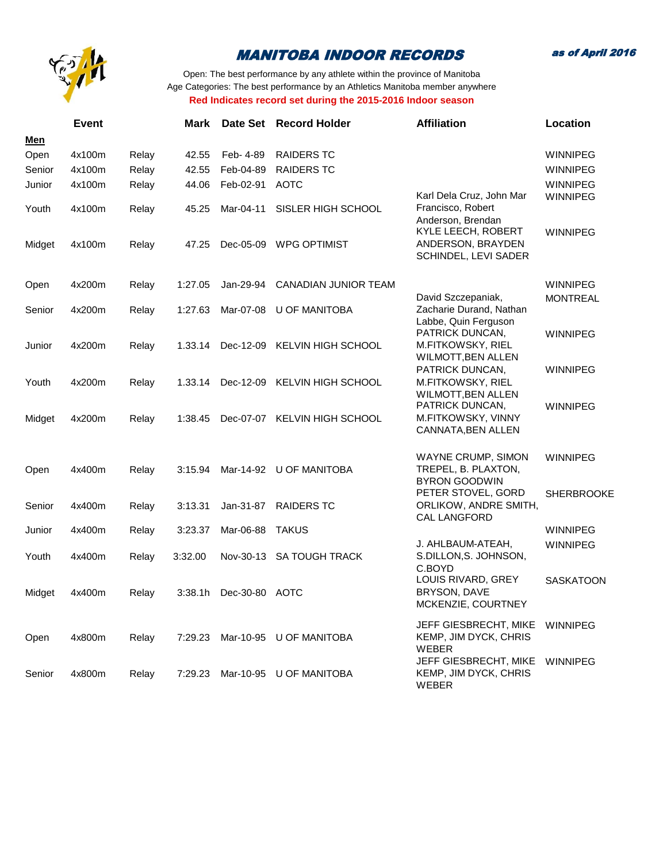

as of April 2016

|            | <b>Event</b> |       | <b>Mark</b> |                | Date Set Record Holder      | <b>Affiliation</b>                                                    | Location          |
|------------|--------------|-------|-------------|----------------|-----------------------------|-----------------------------------------------------------------------|-------------------|
| <u>Men</u> |              |       |             |                |                             |                                                                       |                   |
| Open       | 4x100m       | Relay | 42.55       | Feb- 4-89      | <b>RAIDERS TC</b>           |                                                                       | <b>WINNIPEG</b>   |
| Senior     | 4x100m       | Relay | 42.55       | Feb-04-89      | <b>RAIDERS TC</b>           |                                                                       | <b>WINNIPEG</b>   |
| Junior     | 4x100m       | Relay | 44.06       | Feb-02-91      | <b>AOTC</b>                 |                                                                       | WINNIPEG          |
| Youth      | 4x100m       | Relay | 45.25       | Mar-04-11      | SISLER HIGH SCHOOL          | Karl Dela Cruz, John Mar<br>Francisco, Robert<br>Anderson, Brendan    | <b>WINNIPEG</b>   |
| Midget     | 4x100m       | Relay | 47.25       | Dec-05-09      | <b>WPG OPTIMIST</b>         | KYLE LEECH, ROBERT<br>ANDERSON, BRAYDEN<br>SCHINDEL, LEVI SADER       | <b>WINNIPEG</b>   |
| Open       | 4x200m       | Relay | 1:27.05     | Jan-29-94      | <b>CANADIAN JUNIOR TEAM</b> |                                                                       | <b>WINNIPEG</b>   |
| Senior     | 4x200m       | Relay | 1:27.63     | Mar-07-08      | U OF MANITOBA               | David Szczepaniak,<br>Zacharie Durand, Nathan<br>Labbe, Quin Ferguson | <b>MONTREAL</b>   |
| Junior     | 4x200m       | Relay | 1.33.14     | Dec-12-09      | KELVIN HIGH SCHOOL          | PATRICK DUNCAN,<br>M.FITKOWSKY, RIEL<br>WILMOTT, BEN ALLEN            | <b>WINNIPEG</b>   |
| Youth      | 4x200m       | Relay | 1.33.14     | Dec-12-09      | KELVIN HIGH SCHOOL          | PATRICK DUNCAN,<br>M.FITKOWSKY, RIEL<br>WILMOTT, BEN ALLEN            | <b>WINNIPEG</b>   |
| Midget     | 4x200m       | Relay | 1:38.45     | Dec-07-07      | KELVIN HIGH SCHOOL          | PATRICK DUNCAN,<br>M.FITKOWSKY, VINNY<br>CANNATA, BEN ALLEN           | <b>WINNIPEG</b>   |
| Open       | 4x400m       | Relay | 3:15.94     |                | Mar-14-92 U OF MANITOBA     | WAYNE CRUMP, SIMON<br>TREPEL, B. PLAXTON,<br><b>BYRON GOODWIN</b>     | <b>WINNIPEG</b>   |
| Senior     | 4x400m       | Relay | 3:13.31     | Jan-31-87      | <b>RAIDERS TC</b>           | PETER STOVEL, GORD<br>ORLIKOW, ANDRE SMITH,<br>CAL LANGFORD           | <b>SHERBROOKE</b> |
| Junior     | 4x400m       | Relay | 3:23.37     | Mar-06-88      | <b>TAKUS</b>                |                                                                       | <b>WINNIPEG</b>   |
| Youth      | 4x400m       | Relay | 3:32.00     | Nov-30-13      | <b>SA TOUGH TRACK</b>       | J. AHLBAUM-ATEAH,<br>S.DILLON, S. JOHNSON,<br>C.BOYD                  | <b>WINNIPEG</b>   |
| Midget     | 4x400m       | Relay | 3:38.1h     | Dec-30-80 AOTC |                             | LOUIS RIVARD, GREY<br>BRYSON, DAVE<br>MCKENZIE, COURTNEY              | <b>SASKATOON</b>  |
| Open       | 4x800m       | Relay | 7:29.23     |                | Mar-10-95 U OF MANITOBA     | JEFF GIESBRECHT, MIKE<br>KEMP, JIM DYCK, CHRIS<br><b>WEBER</b>        | <b>WINNIPEG</b>   |
| Senior     | 4x800m       | Relay | 7:29.23     |                | Mar-10-95 U OF MANITOBA     | JEFF GIESBRECHT, MIKE<br>KEMP, JIM DYCK, CHRIS<br>WEBER               | <b>WINNIPEG</b>   |